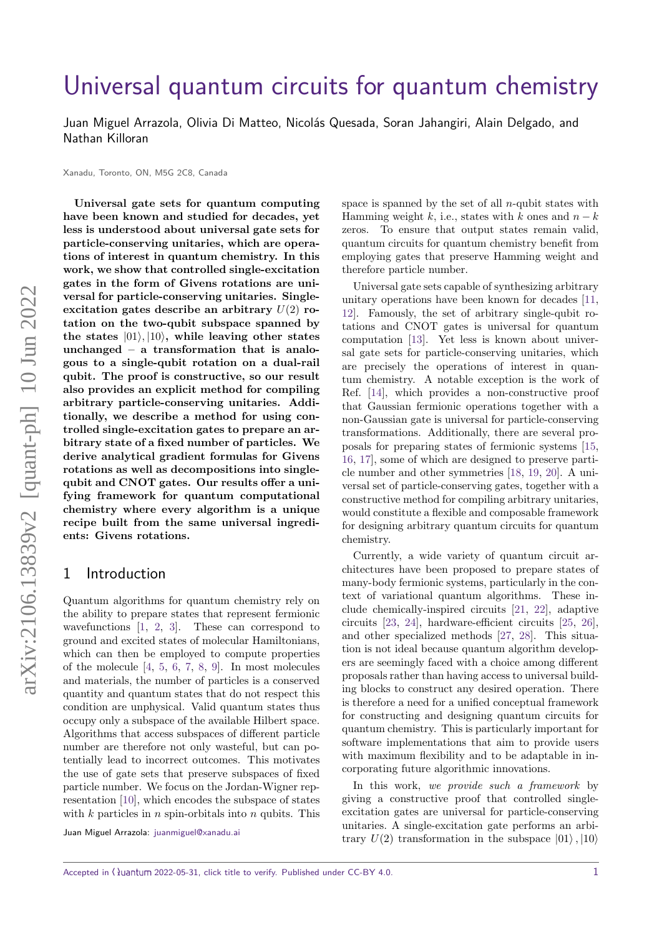# [Universal quantum circuits for quantum chemistry](https://quantum-journal.org/?s=Universal%20quantum%20circuits%20for%20quantum%20chemistry&reason=title-click)

Juan Miguel Arrazola, Olivia Di Matteo, Nicolás Quesada, Soran Jahangiri, Alain Delgado, and Nathan Killoran

Xanadu, Toronto, ON, M5G 2C8, Canada

**Universal gate sets for quantum computing have been known and studied for decades, yet less is understood about universal gate sets for particle-conserving unitaries, which are operations of interest in quantum chemistry. In this work, we show that controlled single-excitation gates in the form of Givens rotations are universal for particle-conserving unitaries. Singleexcitation gates describe an arbitrary** *U*(2) **rotation on the two-qubit subspace spanned by** the states  $|01\rangle, |10\rangle$ , while leaving other states **unchanged – a transformation that is analogous to a single-qubit rotation on a dual-rail qubit. The proof is constructive, so our result also provides an explicit method for compiling arbitrary particle-conserving unitaries. Additionally, we describe a method for using controlled single-excitation gates to prepare an arbitrary state of a fixed number of particles. We derive analytical gradient formulas for Givens rotations as well as decompositions into singlequbit and CNOT gates. Our results offer a unifying framework for quantum computational chemistry where every algorithm is a unique recipe built from the same universal ingredients: Givens rotations.**

#### 1 Introduction

Quantum algorithms for quantum chemistry rely on the ability to prepare states that represent fermionic wavefunctions [\[1,](#page-9-0) [2,](#page-9-1) [3\]](#page-9-2). These can correspond to ground and excited states of molecular Hamiltonians, which can then be employed to compute properties of the molecule [\[4,](#page-9-3) [5,](#page-9-4) [6,](#page-9-5) [7,](#page-9-6) [8,](#page-9-7) [9\]](#page-9-8). In most molecules and materials, the number of particles is a conserved quantity and quantum states that do not respect this condition are unphysical. Valid quantum states thus occupy only a subspace of the available Hilbert space. Algorithms that access subspaces of different particle number are therefore not only wasteful, but can potentially lead to incorrect outcomes. This motivates the use of gate sets that preserve subspaces of fixed particle number. We focus on the Jordan-Wigner representation [\[10\]](#page-9-9), which encodes the subspace of states with *k* particles in *n* spin-orbitals into *n* qubits. This

Juan Miguel Arrazola: [juanmiguel@xanadu.ai](mailto:juanmiguel@xanadu.ai)

space is spanned by the set of all *n*-qubit states with Hamming weight  $k$ , i.e., states with  $k$  ones and  $n - k$ zeros. To ensure that output states remain valid, quantum circuits for quantum chemistry benefit from employing gates that preserve Hamming weight and therefore particle number.

Universal gate sets capable of synthesizing arbitrary unitary operations have been known for decades [\[11,](#page-9-10) [12\]](#page-9-11). Famously, the set of arbitrary single-qubit rotations and CNOT gates is universal for quantum computation [\[13\]](#page-9-12). Yet less is known about universal gate sets for particle-conserving unitaries, which are precisely the operations of interest in quantum chemistry. A notable exception is the work of Ref. [\[14\]](#page-9-13), which provides a non-constructive proof that Gaussian fermionic operations together with a non-Gaussian gate is universal for particle-conserving transformations. Additionally, there are several proposals for preparing states of fermionic systems [\[15,](#page-9-14) [16,](#page-9-15) [17\]](#page-9-16), some of which are designed to preserve particle number and other symmetries [\[18,](#page-10-0) [19,](#page-10-1) [20\]](#page-10-2). A universal set of particle-conserving gates, together with a constructive method for compiling arbitrary unitaries, would constitute a flexible and composable framework for designing arbitrary quantum circuits for quantum chemistry.

Currently, a wide variety of quantum circuit architectures have been proposed to prepare states of many-body fermionic systems, particularly in the context of variational quantum algorithms. These include chemically-inspired circuits [\[21,](#page-10-3) [22\]](#page-10-4), adaptive circuits [\[23,](#page-10-5) [24\]](#page-10-6), hardware-efficient circuits [\[25,](#page-10-7) [26\]](#page-10-8), and other specialized methods [\[27,](#page-10-9) [28\]](#page-10-10). This situation is not ideal because quantum algorithm developers are seemingly faced with a choice among different proposals rather than having access to universal building blocks to construct any desired operation. There is therefore a need for a unified conceptual framework for constructing and designing quantum circuits for quantum chemistry. This is particularly important for software implementations that aim to provide users with maximum flexibility and to be adaptable in incorporating future algorithmic innovations.

In this work, we provide such a framework by giving a constructive proof that controlled singleexcitation gates are universal for particle-conserving unitaries. A single-excitation gate performs an arbitrary  $U(2)$  transformation in the subspace  $|01\rangle, |10\rangle$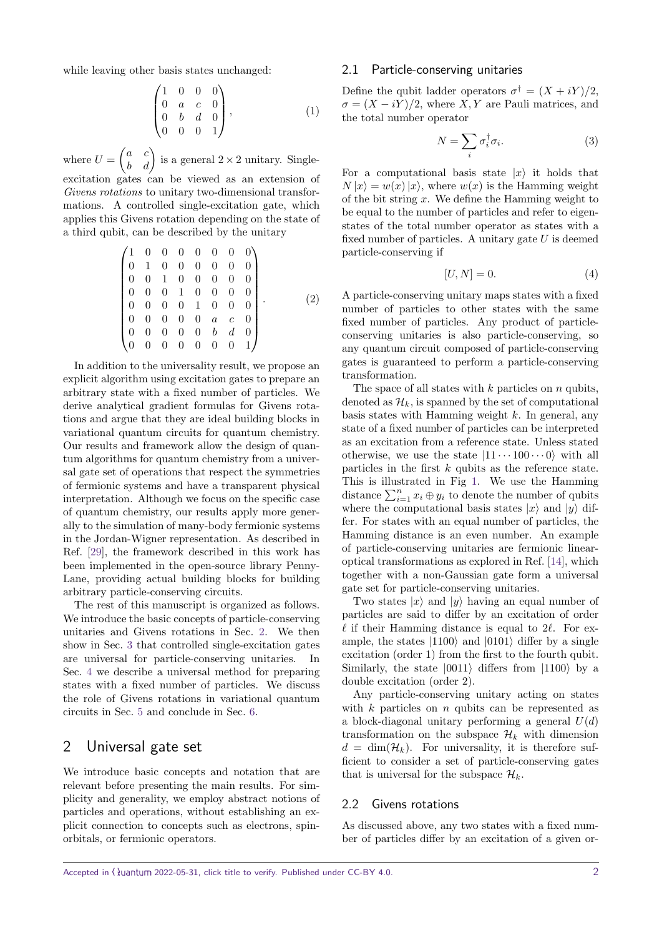while leaving other basis states unchanged:

$$
\begin{pmatrix}\n1 & 0 & 0 & 0 \\
0 & a & c & 0 \\
0 & b & d & 0 \\
0 & 0 & 0 & 1\n\end{pmatrix},\n\tag{1}
$$

where  $U = \begin{pmatrix} a & c \\ b & d \end{pmatrix}$  is a general  $2 \times 2$  unitary. Singleexcitation gates can be viewed as an extension of

Givens rotations to unitary two-dimensional transformations. A controlled single-excitation gate, which applies this Givens rotation depending on the state of a third qubit, can be described by the unitary

$$
\begin{pmatrix}\n1 & 0 & 0 & 0 & 0 & 0 & 0 & 0 \\
0 & 1 & 0 & 0 & 0 & 0 & 0 & 0 \\
0 & 0 & 1 & 0 & 0 & 0 & 0 & 0 \\
0 & 0 & 0 & 1 & 0 & 0 & 0 & 0 \\
0 & 0 & 0 & 0 & 1 & 0 & 0 & 0 \\
0 & 0 & 0 & 0 & 0 & a & c & 0 \\
0 & 0 & 0 & 0 & 0 & b & d & 0 \\
0 & 0 & 0 & 0 & 0 & 0 & 0 & 1\n\end{pmatrix}.
$$
\n(2)

In addition to the universality result, we propose an explicit algorithm using excitation gates to prepare an arbitrary state with a fixed number of particles. We derive analytical gradient formulas for Givens rotations and argue that they are ideal building blocks in variational quantum circuits for quantum chemistry. Our results and framework allow the design of quantum algorithms for quantum chemistry from a universal gate set of operations that respect the symmetries of fermionic systems and have a transparent physical interpretation. Although we focus on the specific case of quantum chemistry, our results apply more generally to the simulation of many-body fermionic systems in the Jordan-Wigner representation. As described in Ref. [\[29\]](#page-10-11), the framework described in this work has been implemented in the open-source library Penny-Lane, providing actual building blocks for building arbitrary particle-conserving circuits.

The rest of this manuscript is organized as follows. We introduce the basic concepts of particle-conserving unitaries and Givens rotations in Sec. [2.](#page-1-0) We then show in Sec. [3](#page-3-0) that controlled single-excitation gates are universal for particle-conserving unitaries. In Sec. [4](#page-5-0) we describe a universal method for preparing states with a fixed number of particles. We discuss the role of Givens rotations in variational quantum circuits in Sec. [5](#page-6-0) and conclude in Sec. [6.](#page-8-0)

## <span id="page-1-0"></span>2 Universal gate set

We introduce basic concepts and notation that are relevant before presenting the main results. For simplicity and generality, we employ abstract notions of particles and operations, without establishing an explicit connection to concepts such as electrons, spinorbitals, or fermionic operators.

#### 2.1 Particle-conserving unitaries

Define the qubit ladder operators  $\sigma^{\dagger} = (X + iY)/2$ ,  $\sigma = (X - iY)/2$ , where *X, Y* are Pauli matrices, and the total number operator

$$
N = \sum_{i} \sigma_i^{\dagger} \sigma_i. \tag{3}
$$

For a computational basis state  $|x\rangle$  it holds that  $N|x\rangle = w(x)|x\rangle$ , where  $w(x)$  is the Hamming weight of the bit string *x*. We define the Hamming weight to be equal to the number of particles and refer to eigenstates of the total number operator as states with a fixed number of particles. A unitary gate *U* is deemed particle-conserving if

$$
[U, N] = 0.\t\t(4)
$$

A particle-conserving unitary maps states with a fixed number of particles to other states with the same fixed number of particles. Any product of particleconserving unitaries is also particle-conserving, so any quantum circuit composed of particle-conserving gates is guaranteed to perform a particle-conserving transformation.

The space of all states with *k* particles on *n* qubits, denoted as  $\mathcal{H}_k$ , is spanned by the set of computational basis states with Hamming weight *k*. In general, any state of a fixed number of particles can be interpreted as an excitation from a reference state. Unless stated otherwise, we use the state  $|11 \cdots 100 \cdots 0\rangle$  with all particles in the first *k* qubits as the reference state. This is illustrated in Fig [1.](#page-2-0) We use the Hamming distance  $\sum_{i=1}^{n} x_i \oplus y_i$  to denote the number of qubits where the computational basis states  $|x\rangle$  and  $|y\rangle$  differ. For states with an equal number of particles, the Hamming distance is an even number. An example of particle-conserving unitaries are fermionic linearoptical transformations as explored in Ref. [\[14\]](#page-9-13), which together with a non-Gaussian gate form a universal gate set for particle-conserving unitaries.

Two states  $|x\rangle$  and  $|y\rangle$  having an equal number of particles are said to differ by an excitation of order  $\ell$  if their Hamming distance is equal to 2 $\ell$ . For example, the states  $|1100\rangle$  and  $|0101\rangle$  differ by a single excitation (order 1) from the first to the fourth qubit. Similarly, the state  $|0011\rangle$  differs from  $|1100\rangle$  by a double excitation (order 2).

Any particle-conserving unitary acting on states with *k* particles on *n* qubits can be represented as a block-diagonal unitary performing a general *U*(*d*) transformation on the subspace  $\mathcal{H}_k$  with dimension  $d = \dim(\mathcal{H}_k)$ . For universality, it is therefore sufficient to consider a set of particle-conserving gates that is universal for the subspace  $\mathcal{H}_k$ .

#### 2.2 Givens rotations

As discussed above, any two states with a fixed number of particles differ by an excitation of a given or-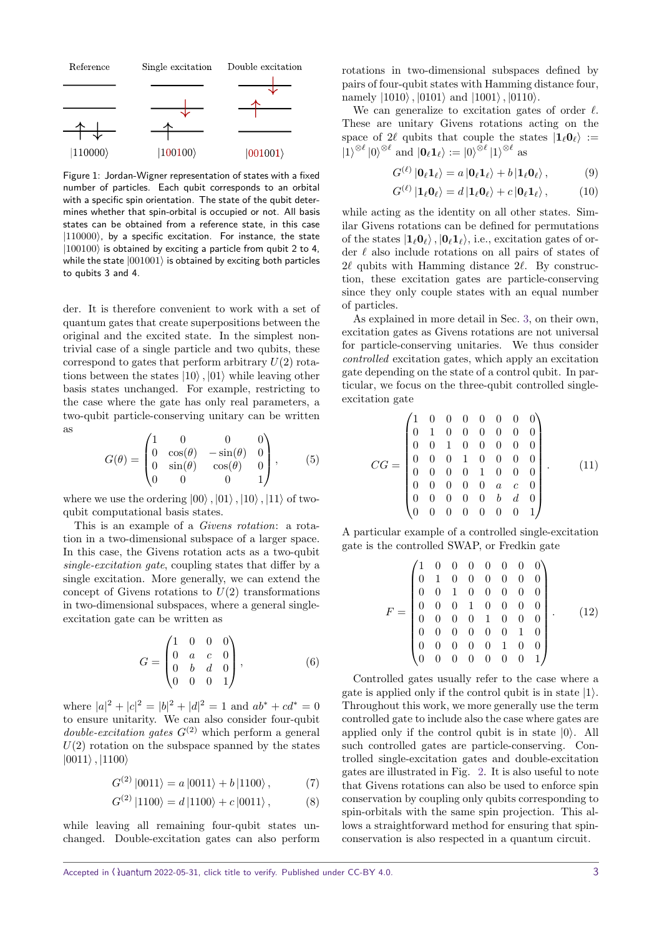<span id="page-2-0"></span>

Figure 1: Jordan-Wigner representation of states with a fixed number of particles. Each qubit corresponds to an orbital with a specific spin orientation. The state of the qubit determines whether that spin-orbital is occupied or not. All basis states can be obtained from a reference state, in this case  $|110000\rangle$ , by a specific excitation. For instance, the state  $|100100\rangle$  is obtained by exciting a particle from qubit 2 to 4, while the state  $|001001\rangle$  is obtained by exciting both particles to qubits 3 and 4.

der. It is therefore convenient to work with a set of quantum gates that create superpositions between the original and the excited state. In the simplest nontrivial case of a single particle and two qubits, these correspond to gates that perform arbitrary *U*(2) rotations between the states  $|10\rangle$ ,  $|01\rangle$  while leaving other basis states unchanged. For example, restricting to the case where the gate has only real parameters, a two-qubit particle-conserving unitary can be written as

<span id="page-2-3"></span>
$$
G(\theta) = \begin{pmatrix} 1 & 0 & 0 & 0 \\ 0 & \cos(\theta) & -\sin(\theta) & 0 \\ 0 & \sin(\theta) & \cos(\theta) & 0 \\ 0 & 0 & 0 & 1 \end{pmatrix}, \quad (5)
$$

where we use the ordering  $|00\rangle$ ,  $|01\rangle$ ,  $|10\rangle$ ,  $|11\rangle$  of twoqubit computational basis states.

This is an example of a *Givens rotation*: a rotation in a two-dimensional subspace of a larger space. In this case, the Givens rotation acts as a two-qubit single-excitation gate, coupling states that differ by a single excitation. More generally, we can extend the concept of Givens rotations to  $U(2)$  transformations in two-dimensional subspaces, where a general singleexcitation gate can be written as

$$
G = \begin{pmatrix} 1 & 0 & 0 & 0 \\ 0 & a & c & 0 \\ 0 & b & d & 0 \\ 0 & 0 & 0 & 1 \end{pmatrix}, \tag{6}
$$

where  $|a|^2 + |c|^2 = |b|^2 + |d|^2 = 1$  and  $ab^* + cd^* = 0$ to ensure unitarity. We can also consider four-qubit *double-excitation gates*  $G^{(2)}$  which perform a general  $U(2)$  rotation on the subspace spanned by the states  $|0011\rangle$ ,  $|1100\rangle$ 

$$
G^{(2)} |0011\rangle = a |0011\rangle + b |1100\rangle , \qquad (7)
$$

$$
G^{(2)} |1100\rangle = d |1100\rangle + c |0011\rangle , \qquad (8)
$$

while leaving all remaining four-qubit states unchanged. Double-excitation gates can also perform rotations in two-dimensional subspaces defined by pairs of four-qubit states with Hamming distance four, namely  $|1010\rangle$ ,  $|0101\rangle$  and  $|1001\rangle$ ,  $|0110\rangle$ .

We can generalize to excitation gates of order  $\ell$ . These are unitary Givens rotations acting on the space of 2 $\ell$  qubits that couple the states  $|1_{\ell}0_{\ell}\rangle$  :=  $|1\rangle^{\otimes \ell} |0\rangle^{\otimes \ell}$  and  $|0_{\ell}1_{\ell}\rangle := |0\rangle^{\otimes \ell} |1\rangle^{\otimes \ell}$  as

$$
G^{(\ell)} |0_{\ell} 1_{\ell} \rangle = a |0_{\ell} 1_{\ell} \rangle + b |1_{\ell} 0_{\ell} \rangle, \qquad (9)
$$

<span id="page-2-2"></span><span id="page-2-1"></span>
$$
G^{(\ell)} | 1_{\ell} 0_{\ell} \rangle = d | 1_{\ell} 0_{\ell} \rangle + c | 0_{\ell} 1_{\ell} \rangle , \qquad (10)
$$

while acting as the identity on all other states. Similar Givens rotations can be defined for permutations of the states  $|1_\ell 0_\ell\rangle$ ,  $|0_\ell 1_\ell\rangle$ , i.e., excitation gates of order  $\ell$  also include rotations on all pairs of states of  $2\ell$  qubits with Hamming distance  $2\ell$ . By construction, these excitation gates are particle-conserving since they only couple states with an equal number of particles.

As explained in more detail in Sec. [3,](#page-3-0) on their own, excitation gates as Givens rotations are not universal for particle-conserving unitaries. We thus consider controlled excitation gates, which apply an excitation gate depending on the state of a control qubit. In particular, we focus on the three-qubit controlled singleexcitation gate

$$
CG = \begin{pmatrix} 1 & 0 & 0 & 0 & 0 & 0 & 0 & 0 \\ 0 & 1 & 0 & 0 & 0 & 0 & 0 & 0 \\ 0 & 0 & 1 & 0 & 0 & 0 & 0 & 0 \\ 0 & 0 & 0 & 1 & 0 & 0 & 0 & 0 \\ 0 & 0 & 0 & 0 & 1 & 0 & 0 & 0 \\ 0 & 0 & 0 & 0 & 0 & a & c & 0 \\ 0 & 0 & 0 & 0 & 0 & b & d & 0 \\ 0 & 0 & 0 & 0 & 0 & 0 & 0 & 1 \end{pmatrix}.
$$
 (11)

A particular example of a controlled single-excitation gate is the controlled SWAP, or Fredkin gate

$$
F = \begin{pmatrix} 1 & 0 & 0 & 0 & 0 & 0 & 0 & 0 \\ 0 & 1 & 0 & 0 & 0 & 0 & 0 & 0 \\ 0 & 0 & 1 & 0 & 0 & 0 & 0 & 0 \\ 0 & 0 & 0 & 1 & 0 & 0 & 0 & 0 \\ 0 & 0 & 0 & 0 & 1 & 0 & 0 & 0 \\ 0 & 0 & 0 & 0 & 0 & 0 & 1 & 0 \\ 0 & 0 & 0 & 0 & 0 & 1 & 0 & 0 \\ 0 & 0 & 0 & 0 & 0 & 0 & 0 & 1 \end{pmatrix} . \tag{12}
$$

Controlled gates usually refer to the case where a gate is applied only if the control qubit is in state  $|1\rangle$ . Throughout this work, we more generally use the term controlled gate to include also the case where gates are applied only if the control qubit is in state  $|0\rangle$ . All such controlled gates are particle-conserving. Controlled single-excitation gates and double-excitation gates are illustrated in Fig. [2.](#page-3-1) It is also useful to note that Givens rotations can also be used to enforce spin conservation by coupling only qubits corresponding to spin-orbitals with the same spin projection. This allows a straightforward method for ensuring that spinconservation is also respected in a quantum circuit.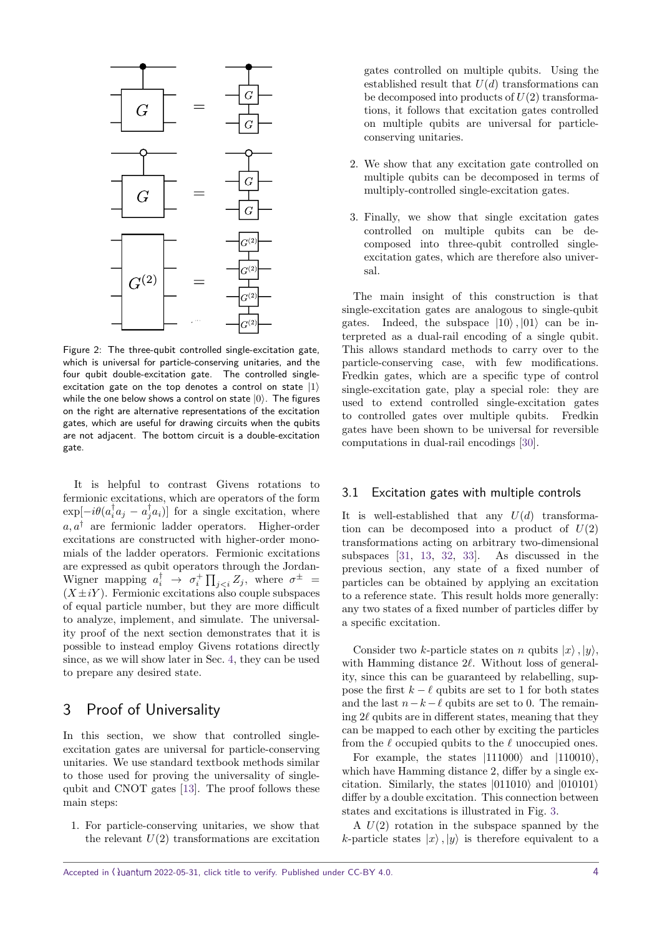<span id="page-3-1"></span>

Figure 2: The three-qubit controlled single-excitation gate, which is universal for particle-conserving unitaries, and the four qubit double-excitation gate. The controlled singleexcitation gate on the top denotes a control on state  $|1\rangle$ while the one below shows a control on state  $|0\rangle$ . The figures on the right are alternative representations of the excitation gates, which are useful for drawing circuits when the qubits are not adjacent. The bottom circuit is a double-excitation gate.

It is helpful to contrast Givens rotations to fermionic excitations, which are operators of the form  $\exp[-i\theta(a_i^{\dagger}a_j - a_j^{\dagger}a_i)]$  for a single excitation, where  $a, a^{\dagger}$  are fermionic ladder operators. Higher-order excitations are constructed with higher-order monomials of the ladder operators. Fermionic excitations are expressed as qubit operators through the Jordan-Wigner mapping  $a_i^{\dagger} \rightarrow \sigma_i^+ \prod_{j, where  $\sigma^{\pm}$$  $(X \pm iY)$ . Fermionic excitations also couple subspaces of equal particle number, but they are more difficult to analyze, implement, and simulate. The universality proof of the next section demonstrates that it is possible to instead employ Givens rotations directly since, as we will show later in Sec. [4,](#page-5-0) they can be used to prepare any desired state.

# <span id="page-3-0"></span>3 Proof of Universality

In this section, we show that controlled singleexcitation gates are universal for particle-conserving unitaries. We use standard textbook methods similar to those used for proving the universality of singlequbit and CNOT gates [\[13\]](#page-9-12). The proof follows these main steps:

1. For particle-conserving unitaries, we show that the relevant  $U(2)$  transformations are excitation gates controlled on multiple qubits. Using the established result that  $U(d)$  transformations can be decomposed into products of *U*(2) transformations, it follows that excitation gates controlled on multiple qubits are universal for particleconserving unitaries.

- 2. We show that any excitation gate controlled on multiple qubits can be decomposed in terms of multiply-controlled single-excitation gates.
- 3. Finally, we show that single excitation gates controlled on multiple qubits can be decomposed into three-qubit controlled singleexcitation gates, which are therefore also universal.

The main insight of this construction is that single-excitation gates are analogous to single-qubit gates. Indeed, the subspace  $|10\rangle$ ,  $|01\rangle$  can be interpreted as a dual-rail encoding of a single qubit. This allows standard methods to carry over to the particle-conserving case, with few modifications. Fredkin gates, which are a specific type of control single-excitation gate, play a special role: they are used to extend controlled single-excitation gates to controlled gates over multiple qubits. Fredkin gates have been shown to be universal for reversible computations in dual-rail encodings [\[30\]](#page-10-12).

#### 3.1 Excitation gates with multiple controls

It is well-established that any  $U(d)$  transformation can be decomposed into a product of  $U(2)$ transformations acting on arbitrary two-dimensional subspaces [\[31,](#page-10-13) [13,](#page-9-12) [32,](#page-10-14) [33\]](#page-10-15). As discussed in the previous section, any state of a fixed number of particles can be obtained by applying an excitation to a reference state. This result holds more generally: any two states of a fixed number of particles differ by a specific excitation.

Consider two *k*-particle states on *n* qubits  $|x\rangle$ ,  $|y\rangle$ , with Hamming distance 2 $\ell$ . Without loss of generality, since this can be guaranteed by relabelling, suppose the first  $k - \ell$  qubits are set to 1 for both states and the last  $n-k-\ell$  qubits are set to 0. The remaining  $2\ell$  qubits are in different states, meaning that they can be mapped to each other by exciting the particles from the  $\ell$  occupied qubits to the  $\ell$  unoccupied ones.

For example, the states  $|111000\rangle$  and  $|110010\rangle$ , which have Hamming distance 2, differ by a single excitation. Similarly, the states  $|011010\rangle$  and  $|010101\rangle$ differ by a double excitation. This connection between states and excitations is illustrated in Fig. [3.](#page-4-0)

A *U*(2) rotation in the subspace spanned by the *k*-particle states  $|x\rangle$ ,  $|y\rangle$  is therefore equivalent to a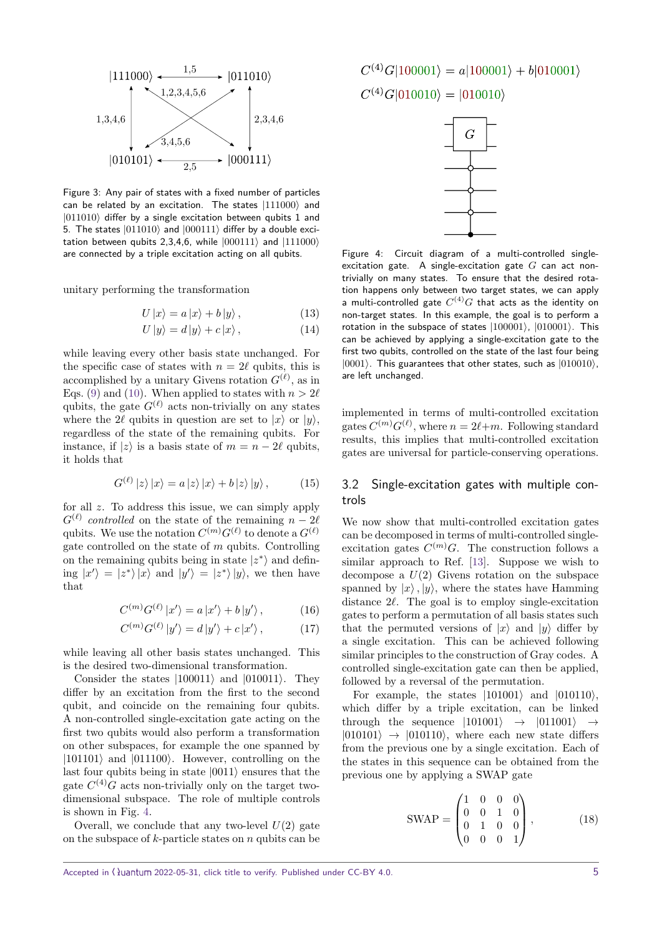<span id="page-4-0"></span>

Figure 3: Any pair of states with a fixed number of particles can be related by an excitation. The states  $|111000\rangle$  and  $|011010\rangle$  differ by a single excitation between qubits 1 and 5. The states  $|011010\rangle$  and  $|000111\rangle$  differ by a double excitation between qubits 2,3,4,6, while  $|000111\rangle$  and  $|111000\rangle$ are connected by a triple excitation acting on all qubits.

unitary performing the transformation

$$
U|x\rangle = a|x\rangle + b|y\rangle, \qquad (13)
$$

$$
U|y\rangle = d|y\rangle + c|x\rangle, \qquad (14)
$$

while leaving every other basis state unchanged. For the specific case of states with  $n = 2\ell$  qubits, this is accomplished by a unitary Givens rotation  $G^{(\ell)}$ , as in Eqs. [\(9\)](#page-2-1) and [\(10\)](#page-2-2). When applied to states with  $n > 2\ell$ qubits, the gate  $G^{(\ell)}$  acts non-trivially on any states where the 2 $\ell$  qubits in question are set to  $|x\rangle$  or  $|y\rangle$ , regardless of the state of the remaining qubits. For instance, if  $|z\rangle$  is a basis state of  $m = n - 2\ell$  qubits, it holds that

$$
G^{(\ell)}|z\rangle|x\rangle = a|z\rangle|x\rangle + b|z\rangle|y\rangle, \qquad (15)
$$

for all *z*. To address this issue, we can simply apply  $G^{(\ell)}$  controlled on the state of the remaining  $n - 2\ell$ qubits. We use the notation  $C^{(m)}G^{(\ell)}$  to denote a  $G^{(\ell)}$ gate controlled on the state of *m* qubits. Controlling on the remaining qubits being in state  $|z^*\rangle$  and defining  $|x'\rangle = |z^* \rangle |x\rangle$  and  $|y'\rangle = |z^* \rangle |y\rangle$ , we then have that

$$
C^{(m)}G^{(\ell)}|x'\rangle = a|x'\rangle + b|y'\rangle, \qquad (16)
$$

$$
C^{(m)}G^{(\ell)}|y'\rangle = d|y'\rangle + c|x'\rangle, \qquad (17)
$$

while leaving all other basis states unchanged. This is the desired two-dimensional transformation.

Consider the states  $|100011\rangle$  and  $|010011\rangle$ . They differ by an excitation from the first to the second qubit, and coincide on the remaining four qubits. A non-controlled single-excitation gate acting on the first two qubits would also perform a transformation on other subspaces, for example the one spanned by  $|101101\rangle$  and  $|011100\rangle$ . However, controlling on the last four qubits being in state  $|0011\rangle$  ensures that the gate  $C^{(4)}G$  acts non-trivially only on the target twodimensional subspace. The role of multiple controls is shown in Fig. [4.](#page-4-1)

Overall, we conclude that any two-level  $U(2)$  gate on the subspace of *k*-particle states on *n* qubits can be <span id="page-4-1"></span> $C^{(4)}G|100001\rangle = a|100001\rangle + b|010001\rangle$ 

 $C^{(4)}G|010010\rangle = |010010\rangle$ 



Figure 4: Circuit diagram of a multi-controlled singleexcitation gate. A single-excitation gate *G* can act nontrivially on many states. To ensure that the desired rotation happens only between two target states, we can apply a multi-controlled gate  $C^{(4)}G$  that acts as the identity on non-target states. In this example, the goal is to perform a rotation in the subspace of states  $|100001\rangle$ ,  $|010001\rangle$ . This can be achieved by applying a single-excitation gate to the first two qubits, controlled on the state of the last four being  $|0001\rangle$ . This guarantees that other states, such as  $|010010\rangle$ , are left unchanged.

implemented in terms of multi-controlled excitation gates  $C^{(m)}G^{(\ell)}$ , where  $n = 2\ell+m$ . Following standard results, this implies that multi-controlled excitation gates are universal for particle-conserving operations.

## 3.2 Single-excitation gates with multiple controls

We now show that multi-controlled excitation gates can be decomposed in terms of multi-controlled singleexcitation gates  $C^{(m)}G$ . The construction follows a similar approach to Ref. [\[13\]](#page-9-12). Suppose we wish to decompose a *U*(2) Givens rotation on the subspace spanned by  $|x\rangle$ ,  $|y\rangle$ , where the states have Hamming distance  $2\ell$ . The goal is to employ single-excitation gates to perform a permutation of all basis states such that the permuted versions of  $|x\rangle$  and  $|y\rangle$  differ by a single excitation. This can be achieved following similar principles to the construction of Gray codes. A controlled single-excitation gate can then be applied, followed by a reversal of the permutation.

For example, the states  $|101001\rangle$  and  $|010110\rangle$ , which differ by a triple excitation, can be linked through the sequence  $|101001\rangle \rightarrow |011001\rangle \rightarrow$  $|010101\rangle \rightarrow |010110\rangle$ , where each new state differs from the previous one by a single excitation. Each of the states in this sequence can be obtained from the previous one by applying a SWAP gate

$$
\text{SWAP} = \begin{pmatrix} 1 & 0 & 0 & 0 \\ 0 & 0 & 1 & 0 \\ 0 & 1 & 0 & 0 \\ 0 & 0 & 0 & 1 \end{pmatrix}, \quad (18)
$$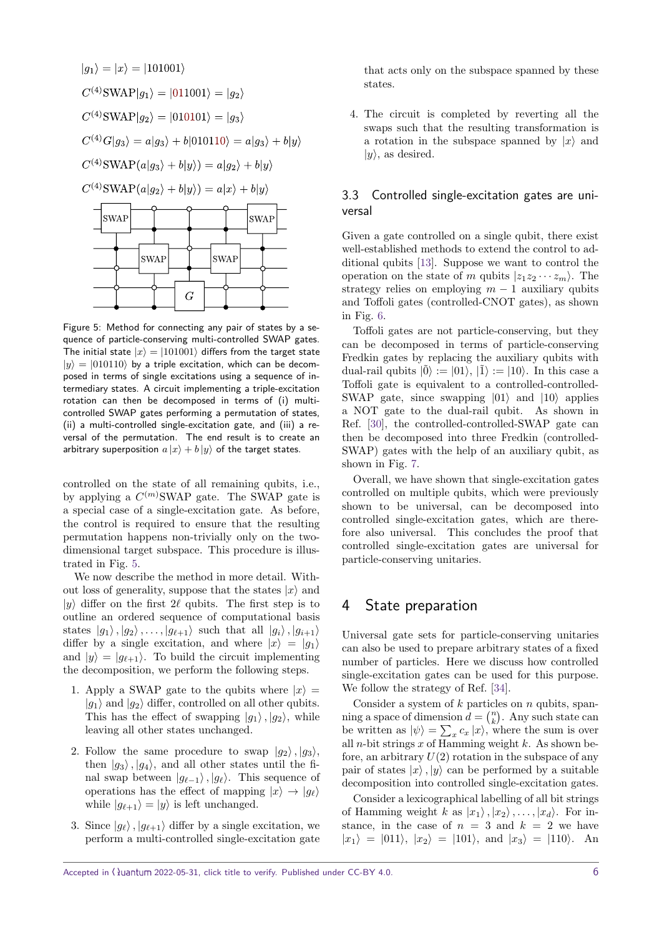<span id="page-5-1"></span>

Figure 5: Method for connecting any pair of states by a sequence of particle-conserving multi-controlled SWAP gates. The initial state  $|x\rangle = |101001\rangle$  differs from the target state  $|y\rangle = |010110\rangle$  by a triple excitation, which can be decomposed in terms of single excitations using a sequence of intermediary states. A circuit implementing a triple-excitation rotation can then be decomposed in terms of (i) multicontrolled SWAP gates performing a permutation of states, (ii) a multi-controlled single-excitation gate, and (iii) a reversal of the permutation. The end result is to create an arbitrary superposition  $a |x\rangle + b |y\rangle$  of the target states.

controlled on the state of all remaining qubits, i.e., by applying a *C* (*m*)SWAP gate. The SWAP gate is a special case of a single-excitation gate. As before, the control is required to ensure that the resulting permutation happens non-trivially only on the twodimensional target subspace. This procedure is illustrated in Fig. [5.](#page-5-1)

We now describe the method in more detail. Without loss of generality, suppose that the states  $|x\rangle$  and  $|y\rangle$  differ on the first 2 $\ell$  qubits. The first step is to outline an ordered sequence of computational basis states  $|g_1\rangle, |g_2\rangle, \ldots, |g_{\ell+1}\rangle$  such that all  $|g_i\rangle, |g_{i+1}\rangle$ differ by a single excitation, and where  $|x\rangle = |g_1\rangle$ and  $|y\rangle = |g_{\ell+1}\rangle$ . To build the circuit implementing the decomposition, we perform the following steps.

- 1. Apply a SWAP gate to the qubits where  $|x\rangle =$  $|q_1\rangle$  and  $|q_2\rangle$  differ, controlled on all other qubits. This has the effect of swapping  $|q_1\rangle$ ,  $|q_2\rangle$ , while leaving all other states unchanged.
- 2. Follow the same procedure to swap  $|g_2\rangle$ ,  $|g_3\rangle$ , then  $|g_3\rangle$ ,  $|g_4\rangle$ , and all other states until the final swap between  $|g_{\ell-1}\rangle$ ,  $|g_{\ell}\rangle$ . This sequence of operations has the effect of mapping  $|x\rangle \rightarrow |g_{\ell}\rangle$ while  $|g_{\ell+1}\rangle = |y\rangle$  is left unchanged.
- 3. Since  $|g_{\ell}\rangle$ ,  $|g_{\ell+1}\rangle$  differ by a single excitation, we perform a multi-controlled single-excitation gate

that acts only on the subspace spanned by these states.

4. The circuit is completed by reverting all the swaps such that the resulting transformation is a rotation in the subspace spanned by  $|x\rangle$  and  $|y\rangle$ , as desired.

#### 3.3 Controlled single-excitation gates are universal

Given a gate controlled on a single qubit, there exist well-established methods to extend the control to additional qubits [\[13\]](#page-9-12). Suppose we want to control the operation on the state of *m* qubits  $|z_1z_2 \cdots z_m\rangle$ . The strategy relies on employing  $m - 1$  auxiliary qubits and Toffoli gates (controlled-CNOT gates), as shown in Fig. [6.](#page-6-1)

Toffoli gates are not particle-conserving, but they can be decomposed in terms of particle-conserving Fredkin gates by replacing the auxiliary qubits with dual-rail qubits  $|0\rangle := |01\rangle, |1\rangle := |10\rangle$ . In this case a Toffoli gate is equivalent to a controlled-controlled-SWAP gate, since swapping  $|01\rangle$  and  $|10\rangle$  applies a NOT gate to the dual-rail qubit. As shown in Ref. [\[30\]](#page-10-12), the controlled-controlled-SWAP gate can then be decomposed into three Fredkin (controlled-SWAP) gates with the help of an auxiliary qubit, as shown in Fig. [7.](#page-6-2)

Overall, we have shown that single-excitation gates controlled on multiple qubits, which were previously shown to be universal, can be decomposed into controlled single-excitation gates, which are therefore also universal. This concludes the proof that controlled single-excitation gates are universal for particle-conserving unitaries.

## <span id="page-5-0"></span>4 State preparation

Universal gate sets for particle-conserving unitaries can also be used to prepare arbitrary states of a fixed number of particles. Here we discuss how controlled single-excitation gates can be used for this purpose. We follow the strategy of Ref. [\[34\]](#page-10-16).

Consider a system of *k* particles on *n* qubits, spanning a space of dimension  $d = \binom{n}{k}$ . Any such state can be written as  $|\psi\rangle = \sum_{x} c_x |x\rangle$ , where the sum is over all *n*-bit strings *x* of Hamming weight *k*. As shown before, an arbitrary  $U(2)$  rotation in the subspace of any pair of states  $|x\rangle$ ,  $|y\rangle$  can be performed by a suitable decomposition into controlled single-excitation gates.

Consider a lexicographical labelling of all bit strings of Hamming weight *k* as  $|x_1\rangle, |x_2\rangle, \ldots, |x_d\rangle$ . For instance, in the case of  $n = 3$  and  $k = 2$  we have  $|x_1\rangle = |011\rangle, |x_2\rangle = |101\rangle, \text{ and } |x_3\rangle = |110\rangle. \text{ An}$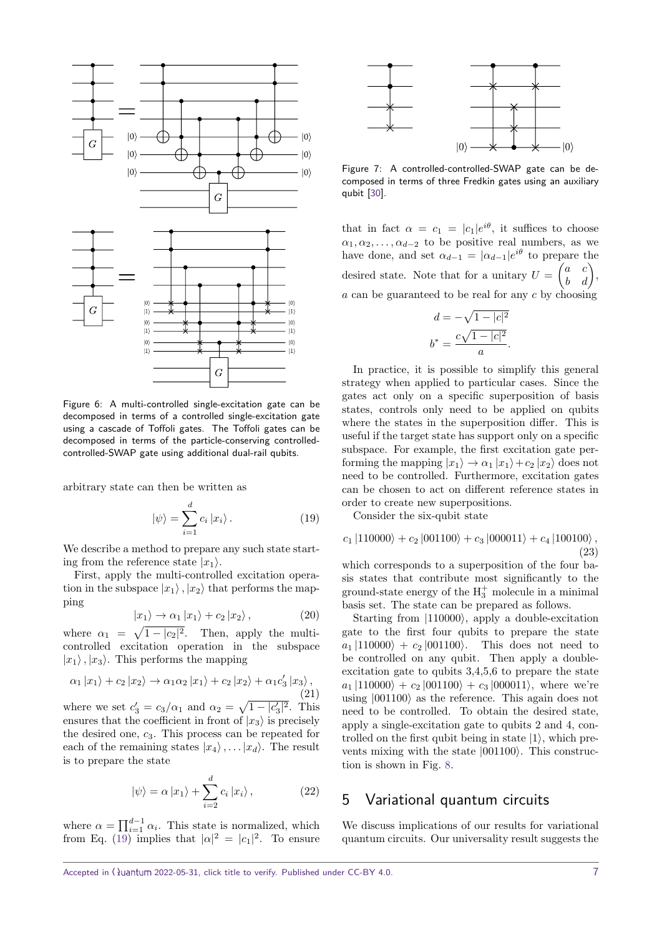<span id="page-6-1"></span>

Figure 6: A multi-controlled single-excitation gate can be decomposed in terms of a controlled single-excitation gate using a cascade of Toffoli gates. The Toffoli gates can be decomposed in terms of the particle-conserving controlledcontrolled-SWAP gate using additional dual-rail qubits.

arbitrary state can then be written as

<span id="page-6-3"></span>
$$
|\psi\rangle = \sum_{i=1}^{d} c_i |x_i\rangle.
$$
 (19)

We describe a method to prepare any such state starting from the reference state  $|x_1\rangle$ .

First, apply the multi-controlled excitation operation in the subspace  $|x_1\rangle$ ,  $|x_2\rangle$  that performs the mapping

$$
|x_1\rangle \to \alpha_1 |x_1\rangle + c_2 |x_2\rangle, \qquad (20)
$$

where  $\alpha_1 = \sqrt{1 - |c_2|^2}$ . Then, apply the multicontrolled excitation operation in the subspace  $|x_1\rangle$ ,  $|x_3\rangle$ . This performs the mapping

$$
\alpha_1 |x_1\rangle + c_2 |x_2\rangle \rightarrow \alpha_1 \alpha_2 |x_1\rangle + c_2 |x_2\rangle + \alpha_1 c_3' |x_3\rangle, \tag{21}
$$

where we set  $c'_3 = c_3/\alpha_1$  and  $\alpha_2 = \sqrt{1 - |c'_3|^2}$ . This ensures that the coefficient in front of  $|x_3\rangle$  is precisely the desired one, *c*3. This process can be repeated for each of the remaining states  $|x_4\rangle, \ldots, |x_d\rangle$ . The result is to prepare the state

$$
|\psi\rangle = \alpha |x_1\rangle + \sum_{i=2}^{d} c_i |x_i\rangle, \qquad (22)
$$

where  $\alpha = \prod_{i=1}^{d-1} \alpha_i$ . This state is normalized, which from Eq. [\(19\)](#page-6-3) implies that  $|\alpha|^2 = |c_1|^2$ . To ensure

<span id="page-6-2"></span>

Figure 7: A controlled-controlled-SWAP gate can be decomposed in terms of three Fredkin gates using an auxiliary qubit [\[30\]](#page-10-12).

that in fact  $\alpha = c_1 = |c_1|e^{i\theta}$ , it suffices to choose  $\alpha_1, \alpha_2, \ldots, \alpha_{d-2}$  to be positive real numbers, as we have done, and set  $\alpha_{d-1} = |\alpha_{d-1}|e^{i\theta}$  to prepare the desired state. Note that for a unitary  $U = \begin{pmatrix} a & c \\ b & d \end{pmatrix}$ , *a* can be guaranteed to be real for any *c* by choosing

$$
d = -\sqrt{1 - |c|^2}
$$

$$
b^* = \frac{c\sqrt{1 - |c|^2}}{a}.
$$

In practice, it is possible to simplify this general strategy when applied to particular cases. Since the gates act only on a specific superposition of basis states, controls only need to be applied on qubits where the states in the superposition differ. This is useful if the target state has support only on a specific subspace. For example, the first excitation gate performing the mapping  $|x_1\rangle \rightarrow \alpha_1 |x_1\rangle + c_2 |x_2\rangle$  does not need to be controlled. Furthermore, excitation gates can be chosen to act on different reference states in order to create new superpositions.

Consider the six-qubit state

$$
c_1 |110000\rangle + c_2 |001100\rangle + c_3 |000011\rangle + c_4 |100100\rangle ,
$$
\n(23)

which corresponds to a superposition of the four basis states that contribute most significantly to the ground-state energy of the  $H_3^+$  molecule in a minimal basis set. The state can be prepared as follows.

Starting from  $|110000\rangle$ , apply a double-excitation gate to the first four qubits to prepare the state  $a_1 |110000\rangle + c_2 |001100\rangle$ . This does not need to be controlled on any qubit. Then apply a doubleexcitation gate to qubits 3,4,5,6 to prepare the state  $a_1 |110000\rangle + c_2 |001100\rangle + c_3 |000011\rangle$ , where we're using  $|001100\rangle$  as the reference. This again does not need to be controlled. To obtain the desired state, apply a single-excitation gate to qubits 2 and 4, controlled on the first qubit being in state  $|1\rangle$ , which prevents mixing with the state  $|001100\rangle$ . This construction is shown in Fig. [8.](#page-7-0)

## <span id="page-6-0"></span>5 Variational quantum circuits

We discuss implications of our results for variational quantum circuits. Our universality result suggests the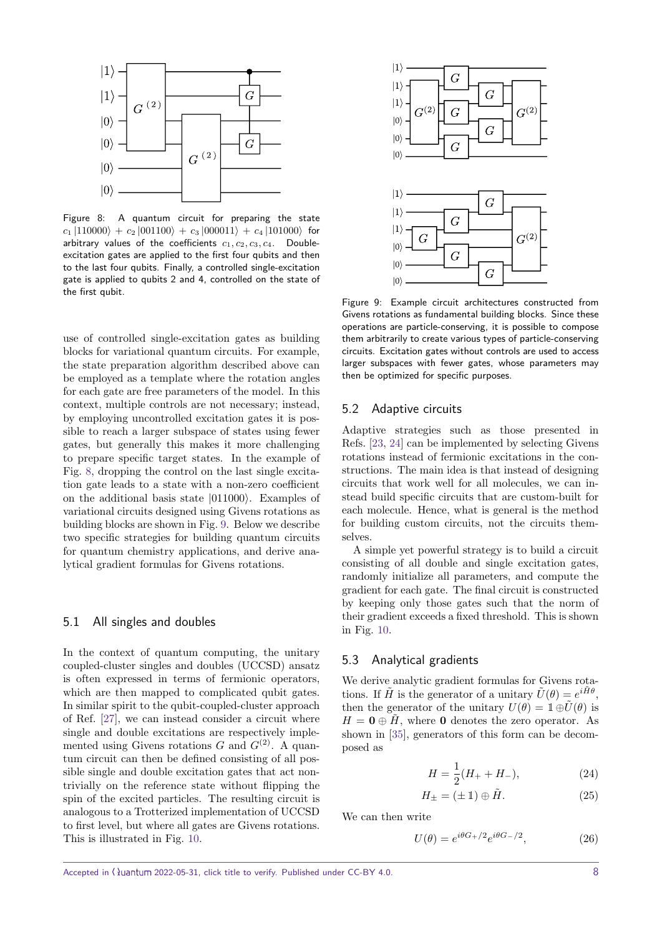<span id="page-7-0"></span>

Figure 8: A quantum circuit for preparing the state  $c_1 |110000\rangle + c_2 |001100\rangle + c_3 |000011\rangle + c_4 |101000\rangle$  for arbitrary values of the coefficients  $c_1, c_2, c_3, c_4$ . Doubleexcitation gates are applied to the first four qubits and then to the last four qubits. Finally, a controlled single-excitation gate is applied to qubits 2 and 4, controlled on the state of the first qubit.

use of controlled single-excitation gates as building blocks for variational quantum circuits. For example, the state preparation algorithm described above can be employed as a template where the rotation angles for each gate are free parameters of the model. In this context, multiple controls are not necessary; instead, by employing uncontrolled excitation gates it is possible to reach a larger subspace of states using fewer gates, but generally this makes it more challenging to prepare specific target states. In the example of Fig. [8,](#page-7-0) dropping the control on the last single excitation gate leads to a state with a non-zero coefficient on the additional basis state  $|011000\rangle$ . Examples of variational circuits designed using Givens rotations as building blocks are shown in Fig. [9.](#page-7-1) Below we describe two specific strategies for building quantum circuits for quantum chemistry applications, and derive analytical gradient formulas for Givens rotations.

#### 5.1 All singles and doubles

In the context of quantum computing, the unitary coupled-cluster singles and doubles (UCCSD) ansatz is often expressed in terms of fermionic operators, which are then mapped to complicated qubit gates. In similar spirit to the qubit-coupled-cluster approach of Ref. [\[27\]](#page-10-9), we can instead consider a circuit where single and double excitations are respectively implemented using Givens rotations  $G$  and  $G^{(2)}$ . A quantum circuit can then be defined consisting of all possible single and double excitation gates that act nontrivially on the reference state without flipping the spin of the excited particles. The resulting circuit is analogous to a Trotterized implementation of UCCSD to first level, but where all gates are Givens rotations. This is illustrated in Fig. [10.](#page-8-1)

<span id="page-7-1"></span>

Figure 9: Example circuit architectures constructed from Givens rotations as fundamental building blocks. Since these operations are particle-conserving, it is possible to compose them arbitrarily to create various types of particle-conserving circuits. Excitation gates without controls are used to access larger subspaces with fewer gates, whose parameters may then be optimized for specific purposes.

#### 5.2 Adaptive circuits

Adaptive strategies such as those presented in Refs. [\[23,](#page-10-5) [24\]](#page-10-6) can be implemented by selecting Givens rotations instead of fermionic excitations in the constructions. The main idea is that instead of designing circuits that work well for all molecules, we can instead build specific circuits that are custom-built for each molecule. Hence, what is general is the method for building custom circuits, not the circuits themselves.

A simple yet powerful strategy is to build a circuit consisting of all double and single excitation gates, randomly initialize all parameters, and compute the gradient for each gate. The final circuit is constructed by keeping only those gates such that the norm of their gradient exceeds a fixed threshold. This is shown in Fig. [10.](#page-8-1)

#### 5.3 Analytical gradients

We derive analytic gradient formulas for Givens rotations. If  $\tilde{H}$  is the generator of a unitary  $\tilde{U}(\theta) = e^{i\tilde{H}\theta}$ , then the generator of the unitary  $U(\theta) = \mathbb{1} \oplus \tilde{U}(\theta)$  is  $H = 0 \oplus H$ , where 0 denotes the zero operator. As shown in [\[35\]](#page-10-17), generators of this form can be decomposed as

$$
H = \frac{1}{2}(H_{+} + H_{-}),\tag{24}
$$

$$
H_{\pm} = (\pm 1) \oplus \tilde{H}.\tag{25}
$$

We can then write

$$
U(\theta) = e^{i\theta G_+/2} e^{i\theta G_-/2},\qquad(26)
$$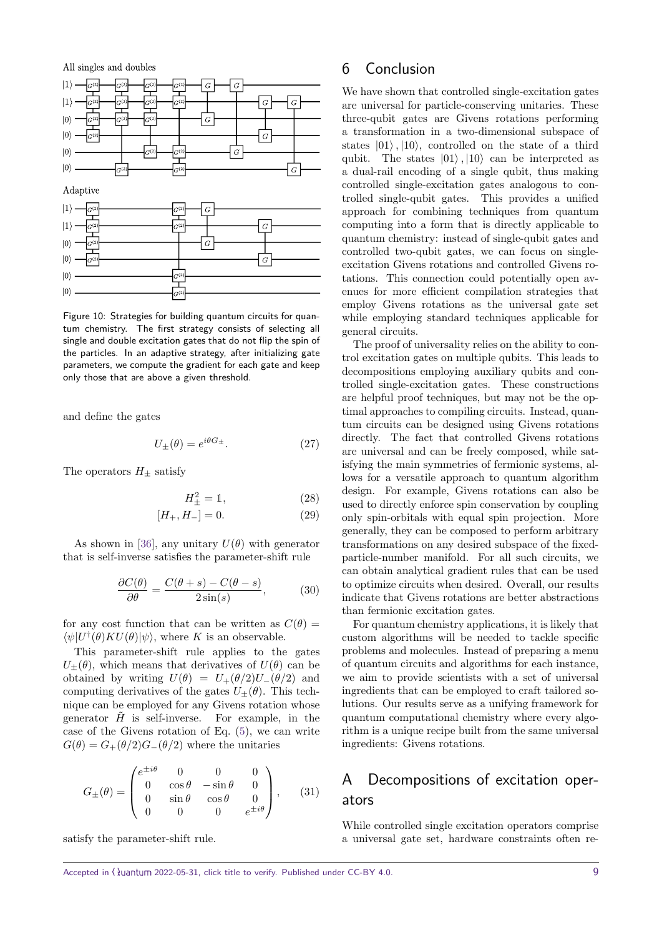<span id="page-8-1"></span>

Figure 10: Strategies for building quantum circuits for quantum chemistry. The first strategy consists of selecting all single and double excitation gates that do not flip the spin of the particles. In an adaptive strategy, after initializing gate parameters, we compute the gradient for each gate and keep only those that are above a given threshold.

and define the gates

$$
U_{\pm}(\theta) = e^{i\theta G_{\pm}}.\tag{27}
$$

The operators  $H_+$  satisfy

$$
H_{\pm}^2 = 1,\t(28)
$$

$$
[H_+, H_-] = 0. \t\t(29)
$$

As shown in [\[36\]](#page-10-18), any unitary  $U(\theta)$  with generator that is self-inverse satisfies the parameter-shift rule

$$
\frac{\partial C(\theta)}{\partial \theta} = \frac{C(\theta + s) - C(\theta - s)}{2\sin(s)},\tag{30}
$$

for any cost function that can be written as  $C(\theta)$  =  $\langle \psi | U^{\dagger}(\theta) K U(\theta) | \psi \rangle$ , where *K* is an observable.

This parameter-shift rule applies to the gates  $U_{+}(\theta)$ , which means that derivatives of  $U(\theta)$  can be obtained by writing  $U(\theta) = U_{+}(\theta/2)U_{-}(\theta/2)$  and computing derivatives of the gates  $U_{+}(\theta)$ . This technique can be employed for any Givens rotation whose generator  $\hat{H}$  is self-inverse. For example, in the case of the Givens rotation of Eq. [\(5\)](#page-2-3), we can write  $G(\theta) = G_{+}(\theta/2)G_{-}(\theta/2)$  where the unitaries

$$
G_{\pm}(\theta) = \begin{pmatrix} e^{\pm i\theta} & 0 & 0 & 0 \\ 0 & \cos\theta & -\sin\theta & 0 \\ 0 & \sin\theta & \cos\theta & 0 \\ 0 & 0 & 0 & e^{\pm i\theta} \end{pmatrix}, \quad (31)
$$

satisfy the parameter-shift rule.

## <span id="page-8-0"></span>6 Conclusion

We have shown that controlled single-excitation gates are universal for particle-conserving unitaries. These three-qubit gates are Givens rotations performing a transformation in a two-dimensional subspace of states  $|01\rangle$ ,  $|10\rangle$ , controlled on the state of a third qubit. The states  $|01\rangle$ ,  $|10\rangle$  can be interpreted as a dual-rail encoding of a single qubit, thus making controlled single-excitation gates analogous to controlled single-qubit gates. This provides a unified approach for combining techniques from quantum computing into a form that is directly applicable to quantum chemistry: instead of single-qubit gates and controlled two-qubit gates, we can focus on singleexcitation Givens rotations and controlled Givens rotations. This connection could potentially open avenues for more efficient compilation strategies that employ Givens rotations as the universal gate set while employing standard techniques applicable for general circuits.

The proof of universality relies on the ability to control excitation gates on multiple qubits. This leads to decompositions employing auxiliary qubits and controlled single-excitation gates. These constructions are helpful proof techniques, but may not be the optimal approaches to compiling circuits. Instead, quantum circuits can be designed using Givens rotations directly. The fact that controlled Givens rotations are universal and can be freely composed, while satisfying the main symmetries of fermionic systems, allows for a versatile approach to quantum algorithm design. For example, Givens rotations can also be used to directly enforce spin conservation by coupling only spin-orbitals with equal spin projection. More generally, they can be composed to perform arbitrary transformations on any desired subspace of the fixedparticle-number manifold. For all such circuits, we can obtain analytical gradient rules that can be used to optimize circuits when desired. Overall, our results indicate that Givens rotations are better abstractions than fermionic excitation gates.

For quantum chemistry applications, it is likely that custom algorithms will be needed to tackle specific problems and molecules. Instead of preparing a menu of quantum circuits and algorithms for each instance, we aim to provide scientists with a set of universal ingredients that can be employed to craft tailored solutions. Our results serve as a unifying framework for quantum computational chemistry where every algorithm is a unique recipe built from the same universal ingredients: Givens rotations.

# A Decompositions of excitation operators

While controlled single excitation operators comprise a universal gate set, hardware constraints often re-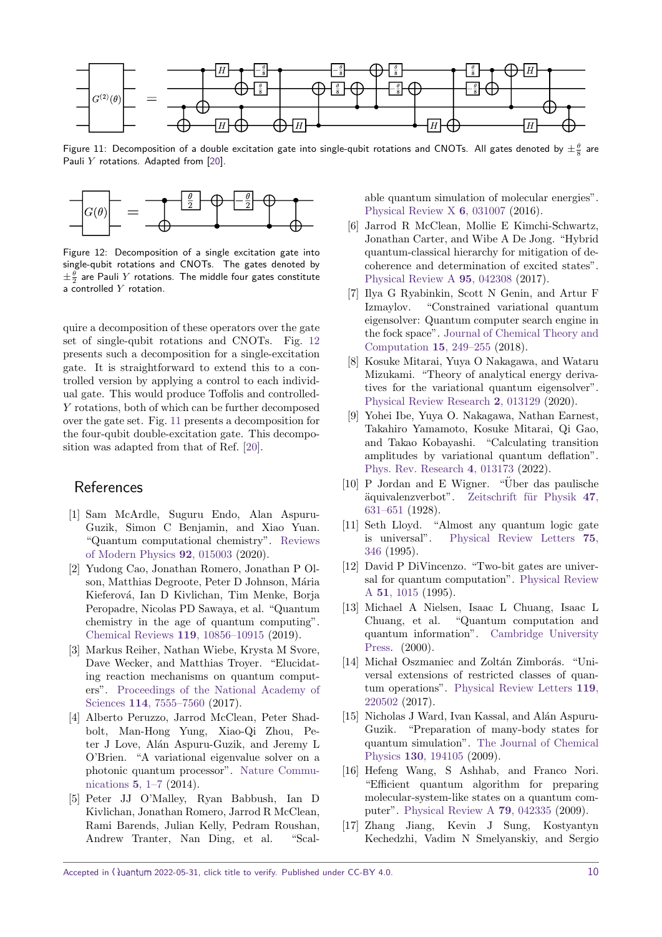<span id="page-9-18"></span>

Figure 11: Decomposition of a double excitation gate into single-qubit rotations and CNOTs. All gates denoted by  $\pm\frac{\theta}{8}$  are Pauli *Y* rotations. Adapted from [\[20\]](#page-10-2).

<span id="page-9-17"></span>

Figure 12: Decomposition of a single excitation gate into single-qubit rotations and CNOTs. The gates denoted by  $\pm \frac{\theta}{2}$  are Pauli  $Y$  rotations. The middle four gates constitute a controlled *Y* rotation.

quire a decomposition of these operators over the gate set of single-qubit rotations and CNOTs. Fig. [12](#page-9-17) presents such a decomposition for a single-excitation gate. It is straightforward to extend this to a controlled version by applying a control to each individual gate. This would produce Toffolis and controlled-*Y* rotations, both of which can be further decomposed over the gate set. Fig. [11](#page-9-18) presents a decomposition for the four-qubit double-excitation gate. This decomposition was adapted from that of Ref. [\[20\]](#page-10-2).

## References

- <span id="page-9-0"></span>[1] Sam McArdle, Suguru Endo, Alan Aspuru-Guzik, Simon C Benjamin, and Xiao Yuan. "Quantum computational chemistry". [Reviews](https://dx.doi.org/10.1103/RevModPhys.92.015003) [of Modern Physics](https://dx.doi.org/10.1103/RevModPhys.92.015003) **92**, 015003 (2020).
- <span id="page-9-1"></span>[2] Yudong Cao, Jonathan Romero, Jonathan P Olson, Matthias Degroote, Peter D Johnson, Mária Kieferová, Ian D Kivlichan, Tim Menke, Borja Peropadre, Nicolas PD Sawaya, et al. "Quantum chemistry in the age of quantum computing". [Chemical Reviews](https://dx.doi.org/10.1021/acs.chemrev.8b00803) **119**, 10856–10915 (2019).
- <span id="page-9-2"></span>[3] Markus Reiher, Nathan Wiebe, Krysta M Svore, Dave Wecker, and Matthias Troyer. "Elucidating reaction mechanisms on quantum computers". [Proceedings of the National Academy of](https://dx.doi.org/10.1073/pnas.1619152114) Sciences **114**[, 7555–7560](https://dx.doi.org/10.1073/pnas.1619152114) (2017).
- <span id="page-9-3"></span>[4] Alberto Peruzzo, Jarrod McClean, Peter Shadbolt, Man-Hong Yung, Xiao-Qi Zhou, Peter J Love, Alán Aspuru-Guzik, and Jeremy L O'Brien. "A variational eigenvalue solver on a photonic quantum processor". [Nature Commu](https://dx.doi.org/10.1038/ncomms5213)[nications](https://dx.doi.org/10.1038/ncomms5213) **5**, 1–7 (2014).
- <span id="page-9-4"></span>[5] Peter JJ O'Malley, Ryan Babbush, Ian D Kivlichan, Jonathan Romero, Jarrod R McClean, Rami Barends, Julian Kelly, Pedram Roushan, Andrew Tranter, Nan Ding, et al. "Scal-

able quantum simulation of molecular energies". [Physical Review X](https://dx.doi.org/10.1103/PhysRevX.6.031007) **6**, 031007 (2016).

- <span id="page-9-5"></span>[6] Jarrod R McClean, Mollie E Kimchi-Schwartz, Jonathan Carter, and Wibe A De Jong. "Hybrid quantum-classical hierarchy for mitigation of decoherence and determination of excited states". [Physical Review A](https://dx.doi.org/10.1103/PhysRevA.95.042308) **95**, 042308 (2017).
- <span id="page-9-6"></span>[7] Ilya G Ryabinkin, Scott N Genin, and Artur F Izmaylov. "Constrained variational quantum eigensolver: Quantum computer search engine in the fock space". [Journal of Chemical Theory and](https://dx.doi.org/doi.org/10.1021/acs.jctc.8b00943) [Computation](https://dx.doi.org/doi.org/10.1021/acs.jctc.8b00943) **15**, 249–255 (2018).
- <span id="page-9-7"></span>[8] Kosuke Mitarai, Yuya O Nakagawa, and Wataru Mizukami. "Theory of analytical energy derivatives for the variational quantum eigensolver". [Physical Review Research](https://dx.doi.org/10.1103/PhysRevResearch.2.013129) **2**, 013129 (2020).
- <span id="page-9-8"></span>[9] Yohei Ibe, Yuya O. Nakagawa, Nathan Earnest, Takahiro Yamamoto, Kosuke Mitarai, Qi Gao, and Takao Kobayashi. "Calculating transition amplitudes by variational quantum deflation". [Phys. Rev. Research](https://dx.doi.org/10.1103/PhysRevResearch.4.013173) **4**, 013173 (2022).
- <span id="page-9-9"></span>[10] P Jordan and E Wigner. "Über das paulische ¨aquivalenzverbot". [Zeitschrift f¨ur Physik](https://dx.doi.org/10.1007/978-3-662-02781-3_9) **47**, [631–651](https://dx.doi.org/10.1007/978-3-662-02781-3_9) (1928).
- <span id="page-9-10"></span>[11] Seth Lloyd. "Almost any quantum logic gate is universal". [Physical Review Letters](https://dx.doi.org/10.1103/PhysRevLett.75.346) **75**, [346](https://dx.doi.org/10.1103/PhysRevLett.75.346) (1995).
- <span id="page-9-11"></span>[12] David P DiVincenzo. "Two-bit gates are universal for quantum computation". [Physical Review](https://dx.doi.org/10.1103/PhysRevA.51.1015) A **51**[, 1015](https://dx.doi.org/10.1103/PhysRevA.51.1015) (1995).
- <span id="page-9-12"></span>[13] Michael A Nielsen, Isaac L Chuang, Isaac L Chuang, et al. "Quantum computation and quantum information". [Cambridge University](https://dx.doi.org/10.1017/CBO9780511976667) [Press.](https://dx.doi.org/10.1017/CBO9780511976667) (2000).
- <span id="page-9-13"></span>[14] Michał Oszmaniec and Zoltán Zimborás. "Universal extensions of restricted classes of quantum operations". [Physical Review Letters](https://dx.doi.org/10.1103/PhysRevLett.119.220502) **119**, [220502](https://dx.doi.org/10.1103/PhysRevLett.119.220502) (2017).
- <span id="page-9-14"></span>[15] Nicholas J Ward, Ivan Kassal, and Alán Aspuru-Guzik. "Preparation of many-body states for quantum simulation". [The Journal of Chemical](https://dx.doi.org/10.1063/1.3115177) Physics **130**[, 194105](https://dx.doi.org/10.1063/1.3115177) (2009).
- <span id="page-9-15"></span>[16] Hefeng Wang, S Ashhab, and Franco Nori. "Efficient quantum algorithm for preparing molecular-system-like states on a quantum computer". [Physical Review A](https://dx.doi.org/10.1103/PhysRevA.79.042335) **79**, 042335 (2009).
- <span id="page-9-16"></span>[17] Zhang Jiang, Kevin J Sung, Kostyantyn Kechedzhi, Vadim N Smelyanskiy, and Sergio